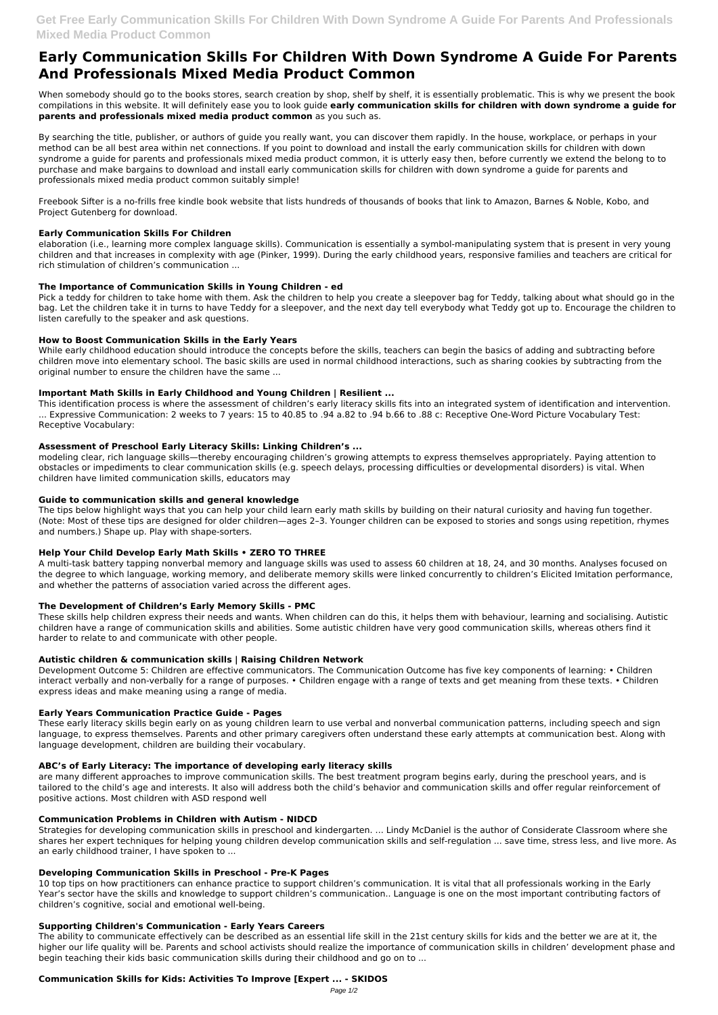# **Early Communication Skills For Children With Down Syndrome A Guide For Parents And Professionals Mixed Media Product Common**

When somebody should go to the books stores, search creation by shop, shelf by shelf, it is essentially problematic. This is why we present the book compilations in this website. It will definitely ease you to look guide **early communication skills for children with down syndrome a guide for parents and professionals mixed media product common** as you such as.

By searching the title, publisher, or authors of guide you really want, you can discover them rapidly. In the house, workplace, or perhaps in your method can be all best area within net connections. If you point to download and install the early communication skills for children with down syndrome a guide for parents and professionals mixed media product common, it is utterly easy then, before currently we extend the belong to to purchase and make bargains to download and install early communication skills for children with down syndrome a guide for parents and professionals mixed media product common suitably simple!

Pick a teddy for children to take home with them. Ask the children to help you create a sleepover bag for Teddy, talking about what should go in the bag. Let the children take it in turns to have Teddy for a sleepover, and the next day tell everybody what Teddy got up to. Encourage the children to listen carefully to the speaker and ask questions.

Freebook Sifter is a no-frills free kindle book website that lists hundreds of thousands of books that link to Amazon, Barnes & Noble, Kobo, and Project Gutenberg for download.

# **Early Communication Skills For Children**

elaboration (i.e., learning more complex language skills). Communication is essentially a symbol-manipulating system that is present in very young children and that increases in complexity with age (Pinker, 1999). During the early childhood years, responsive families and teachers are critical for rich stimulation of children's communication ...

# **The Importance of Communication Skills in Young Children - ed**

# **How to Boost Communication Skills in the Early Years**

While early childhood education should introduce the concepts before the skills, teachers can begin the basics of adding and subtracting before children move into elementary school. The basic skills are used in normal childhood interactions, such as sharing cookies by subtracting from the original number to ensure the children have the same ...

# **Important Math Skills in Early Childhood and Young Children | Resilient ...**

This identification process is where the assessment of children's early literacy skills fits into an integrated system of identification and intervention. ... Expressive Communication: 2 weeks to 7 years: 15 to 40.85 to .94 a.82 to .94 b.66 to .88 c: Receptive One-Word Picture Vocabulary Test: Receptive Vocabulary:

# **Assessment of Preschool Early Literacy Skills: Linking Children's ...**

modeling clear, rich language skills—thereby encouraging children's growing attempts to express themselves appropriately. Paying attention to obstacles or impediments to clear communication skills (e.g. speech delays, processing difficulties or developmental disorders) is vital. When children have limited communication skills, educators may

### **Guide to communication skills and general knowledge**

The tips below highlight ways that you can help your child learn early math skills by building on their natural curiosity and having fun together. (Note: Most of these tips are designed for older children—ages 2–3. Younger children can be exposed to stories and songs using repetition, rhymes and numbers.) Shape up. Play with shape-sorters.

# **Help Your Child Develop Early Math Skills • ZERO TO THREE**

A multi-task battery tapping nonverbal memory and language skills was used to assess 60 children at 18, 24, and 30 months. Analyses focused on the degree to which language, working memory, and deliberate memory skills were linked concurrently to children's Elicited Imitation performance, and whether the patterns of association varied across the different ages.

# **The Development of Children's Early Memory Skills - PMC**

These skills help children express their needs and wants. When children can do this, it helps them with behaviour, learning and socialising. Autistic children have a range of communication skills and abilities. Some autistic children have very good communication skills, whereas others find it harder to relate to and communicate with other people.

### **Autistic children & communication skills | Raising Children Network**

Development Outcome 5: Children are effective communicators. The Communication Outcome has five key components of learning: • Children interact verbally and non-verbally for a range of purposes. • Children engage with a range of texts and get meaning from these texts. • Children express ideas and make meaning using a range of media.

### **Early Years Communication Practice Guide - Pages**

These early literacy skills begin early on as young children learn to use verbal and nonverbal communication patterns, including speech and sign language, to express themselves. Parents and other primary caregivers often understand these early attempts at communication best. Along with language development, children are building their vocabulary.

### **ABC's of Early Literacy: The importance of developing early literacy skills**

are many different approaches to improve communication skills. The best treatment program begins early, during the preschool years, and is tailored to the child's age and interests. It also will address both the child's behavior and communication skills and offer regular reinforcement of positive actions. Most children with ASD respond well

#### **Communication Problems in Children with Autism - NIDCD**

Strategies for developing communication skills in preschool and kindergarten. ... Lindy McDaniel is the author of Considerate Classroom where she shares her expert techniques for helping young children develop communication skills and self-regulation ... save time, stress less, and live more. As an early childhood trainer, I have spoken to ...

### **Developing Communication Skills in Preschool - Pre-K Pages**

10 top tips on how practitioners can enhance practice to support children's communication. It is vital that all professionals working in the Early Year's sector have the skills and knowledge to support children's communication.. Language is one on the most important contributing factors of children's cognitive, social and emotional well-being.

#### **Supporting Children's Communication - Early Years Careers**

The ability to communicate effectively can be described as an essential life skill in the 21st century skills for kids and the better we are at it, the higher our life quality will be. Parents and school activists should realize the importance of communication skills in children' development phase and begin teaching their kids basic communication skills during their childhood and go on to ...

#### **Communication Skills for Kids: Activities To Improve [Expert ... - SKIDOS**